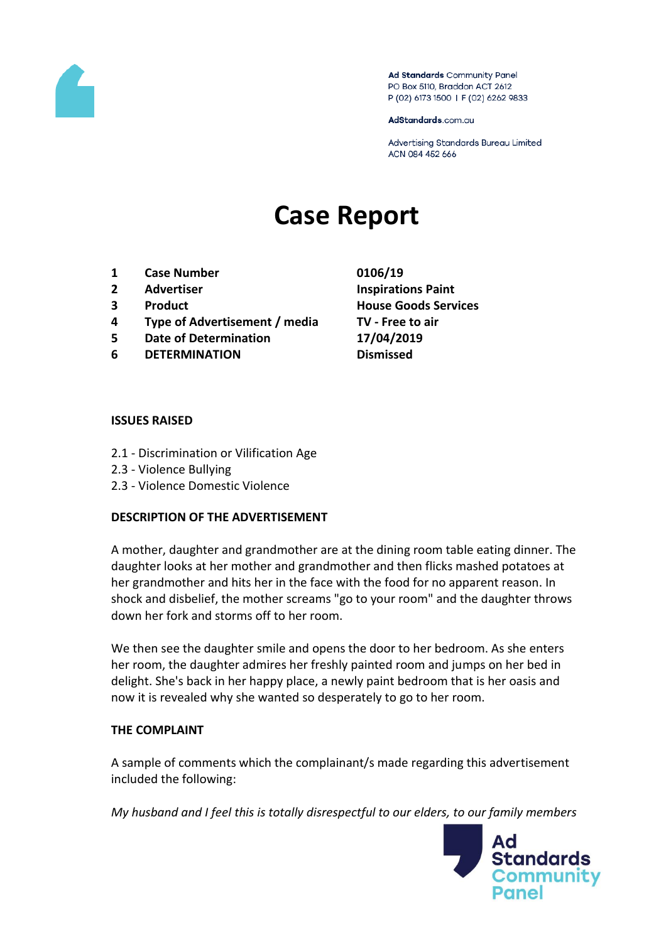

Ad Standards Community Panel PO Box 5110, Braddon ACT 2612 P (02) 6173 1500 | F (02) 6262 9833

AdStandards.com.au

Advertising Standards Bureau Limited ACN 084 452 666

# **Case Report**

- **1 Case Number 0106/19**
- 
- 
- **4 Type of Advertisement / media TV - Free to air**
- **5 Date of Determination 17/04/2019**
- **6 DETERMINATION Dismissed**
- **2 Advertiser Inspirations Paint 3 Product House Goods Services**

#### **ISSUES RAISED**

- 2.1 Discrimination or Vilification Age
- 2.3 Violence Bullying
- 2.3 Violence Domestic Violence

### **DESCRIPTION OF THE ADVERTISEMENT**

A mother, daughter and grandmother are at the dining room table eating dinner. The daughter looks at her mother and grandmother and then flicks mashed potatoes at her grandmother and hits her in the face with the food for no apparent reason. In shock and disbelief, the mother screams "go to your room" and the daughter throws down her fork and storms off to her room.

We then see the daughter smile and opens the door to her bedroom. As she enters her room, the daughter admires her freshly painted room and jumps on her bed in delight. She's back in her happy place, a newly paint bedroom that is her oasis and now it is revealed why she wanted so desperately to go to her room.

### **THE COMPLAINT**

A sample of comments which the complainant/s made regarding this advertisement included the following:

*My husband and I feel this is totally disrespectful to our elders, to our family members* 

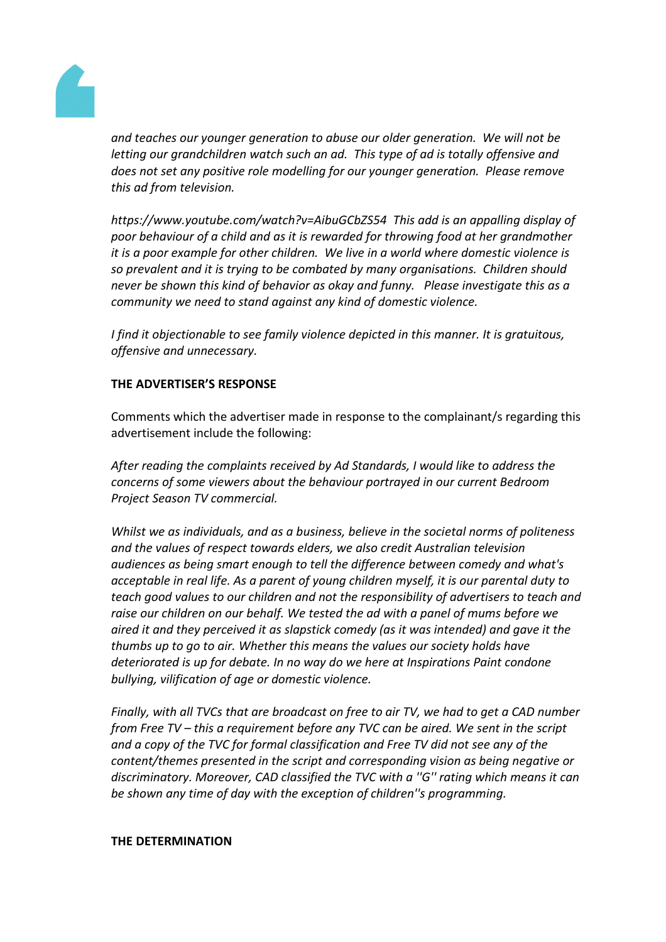

*and teaches our younger generation to abuse our older generation. We will not be letting our grandchildren watch such an ad. This type of ad is totally offensive and does not set any positive role modelling for our younger generation. Please remove this ad from television.*

*https://www.youtube.com/watch?v=AibuGCbZS54 This add is an appalling display of poor behaviour of a child and as it is rewarded for throwing food at her grandmother it is a poor example for other children. We live in a world where domestic violence is so prevalent and it is trying to be combated by many organisations. Children should never be shown this kind of behavior as okay and funny. Please investigate this as a community we need to stand against any kind of domestic violence.*

*I find it objectionable to see family violence depicted in this manner. It is gratuitous, offensive and unnecessary.*

## **THE ADVERTISER'S RESPONSE**

Comments which the advertiser made in response to the complainant/s regarding this advertisement include the following:

*After reading the complaints received by Ad Standards, I would like to address the concerns of some viewers about the behaviour portrayed in our current Bedroom Project Season TV commercial.*

*Whilst we as individuals, and as a business, believe in the societal norms of politeness and the values of respect towards elders, we also credit Australian television audiences as being smart enough to tell the difference between comedy and what's acceptable in real life. As a parent of young children myself, it is our parental duty to teach good values to our children and not the responsibility of advertisers to teach and raise our children on our behalf. We tested the ad with a panel of mums before we aired it and they perceived it as slapstick comedy (as it was intended) and gave it the thumbs up to go to air. Whether this means the values our society holds have deteriorated is up for debate. In no way do we here at Inspirations Paint condone bullying, vilification of age or domestic violence.*

*Finally, with all TVCs that are broadcast on free to air TV, we had to get a CAD number from Free TV – this a requirement before any TVC can be aired. We sent in the script and a copy of the TVC for formal classification and Free TV did not see any of the content/themes presented in the script and corresponding vision as being negative or discriminatory. Moreover, CAD classified the TVC with a ''G'' rating which means it can be shown any time of day with the exception of children''s programming.*

#### **THE DETERMINATION**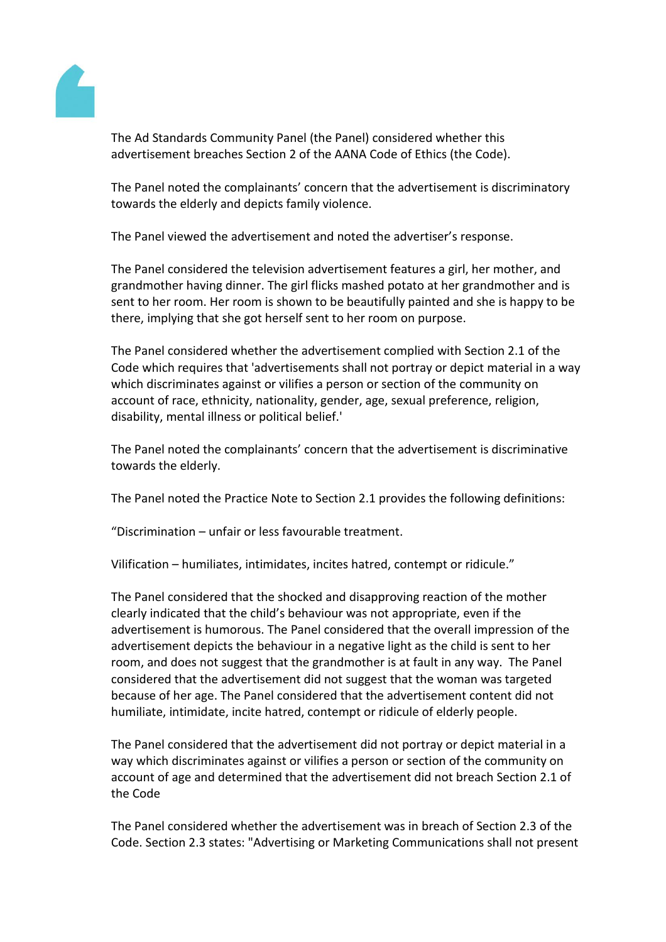

The Ad Standards Community Panel (the Panel) considered whether this advertisement breaches Section 2 of the AANA Code of Ethics (the Code).

The Panel noted the complainants' concern that the advertisement is discriminatory towards the elderly and depicts family violence.

The Panel viewed the advertisement and noted the advertiser's response.

The Panel considered the television advertisement features a girl, her mother, and grandmother having dinner. The girl flicks mashed potato at her grandmother and is sent to her room. Her room is shown to be beautifully painted and she is happy to be there, implying that she got herself sent to her room on purpose.

The Panel considered whether the advertisement complied with Section 2.1 of the Code which requires that 'advertisements shall not portray or depict material in a way which discriminates against or vilifies a person or section of the community on account of race, ethnicity, nationality, gender, age, sexual preference, religion, disability, mental illness or political belief.'

The Panel noted the complainants' concern that the advertisement is discriminative towards the elderly.

The Panel noted the Practice Note to Section 2.1 provides the following definitions:

"Discrimination – unfair or less favourable treatment.

Vilification – humiliates, intimidates, incites hatred, contempt or ridicule."

The Panel considered that the shocked and disapproving reaction of the mother clearly indicated that the child's behaviour was not appropriate, even if the advertisement is humorous. The Panel considered that the overall impression of the advertisement depicts the behaviour in a negative light as the child is sent to her room, and does not suggest that the grandmother is at fault in any way. The Panel considered that the advertisement did not suggest that the woman was targeted because of her age. The Panel considered that the advertisement content did not humiliate, intimidate, incite hatred, contempt or ridicule of elderly people.

The Panel considered that the advertisement did not portray or depict material in a way which discriminates against or vilifies a person or section of the community on account of age and determined that the advertisement did not breach Section 2.1 of the Code

The Panel considered whether the advertisement was in breach of Section 2.3 of the Code. Section 2.3 states: "Advertising or Marketing Communications shall not present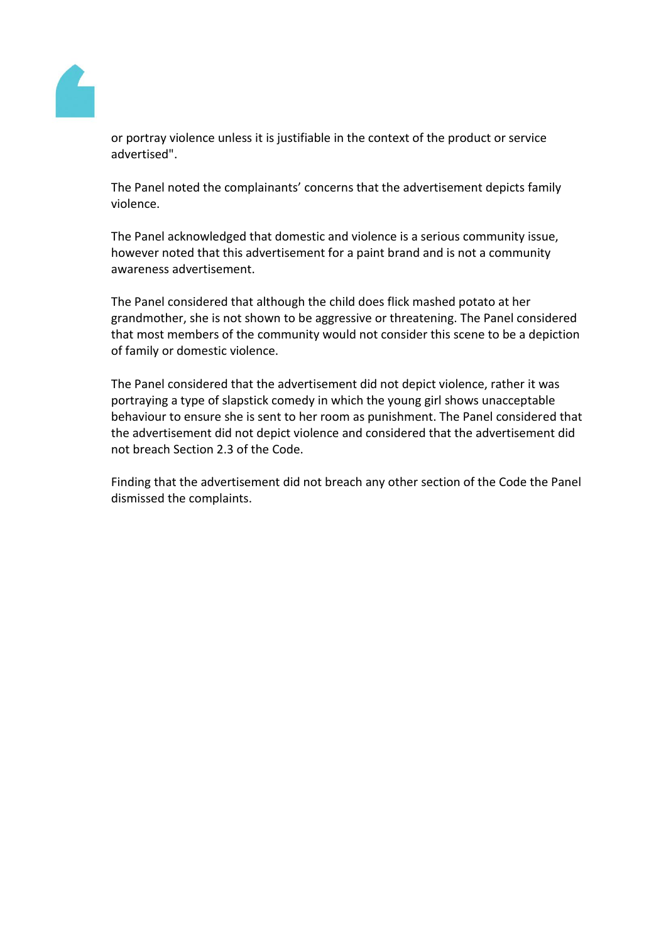

or portray violence unless it is justifiable in the context of the product or service advertised".

The Panel noted the complainants' concerns that the advertisement depicts family violence.

The Panel acknowledged that domestic and violence is a serious community issue, however noted that this advertisement for a paint brand and is not a community awareness advertisement.

The Panel considered that although the child does flick mashed potato at her grandmother, she is not shown to be aggressive or threatening. The Panel considered that most members of the community would not consider this scene to be a depiction of family or domestic violence.

The Panel considered that the advertisement did not depict violence, rather it was portraying a type of slapstick comedy in which the young girl shows unacceptable behaviour to ensure she is sent to her room as punishment. The Panel considered that the advertisement did not depict violence and considered that the advertisement did not breach Section 2.3 of the Code.

Finding that the advertisement did not breach any other section of the Code the Panel dismissed the complaints.